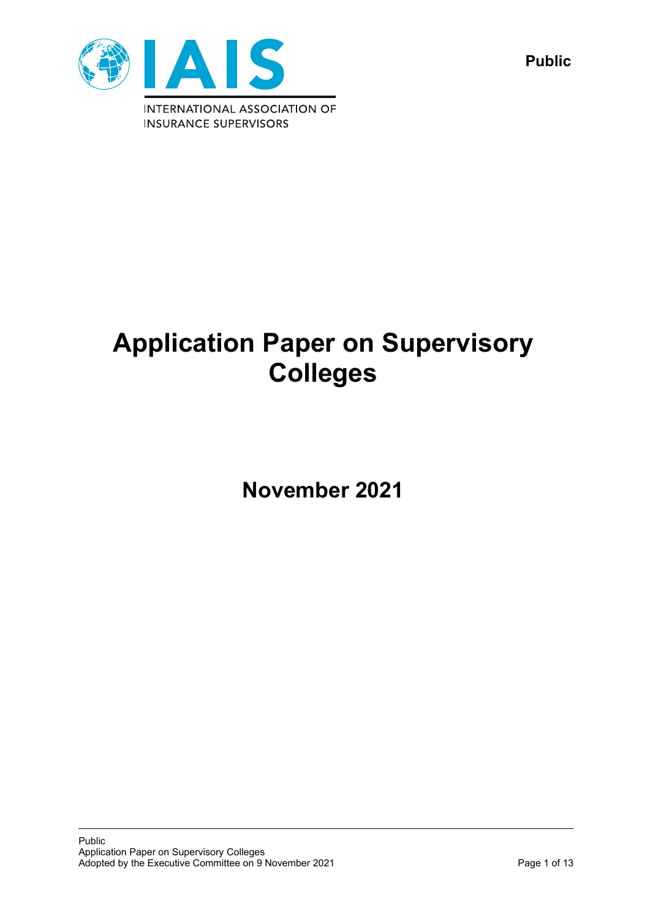

**Public**

# **Application Paper on Supervisory Colleges**

**November 2021**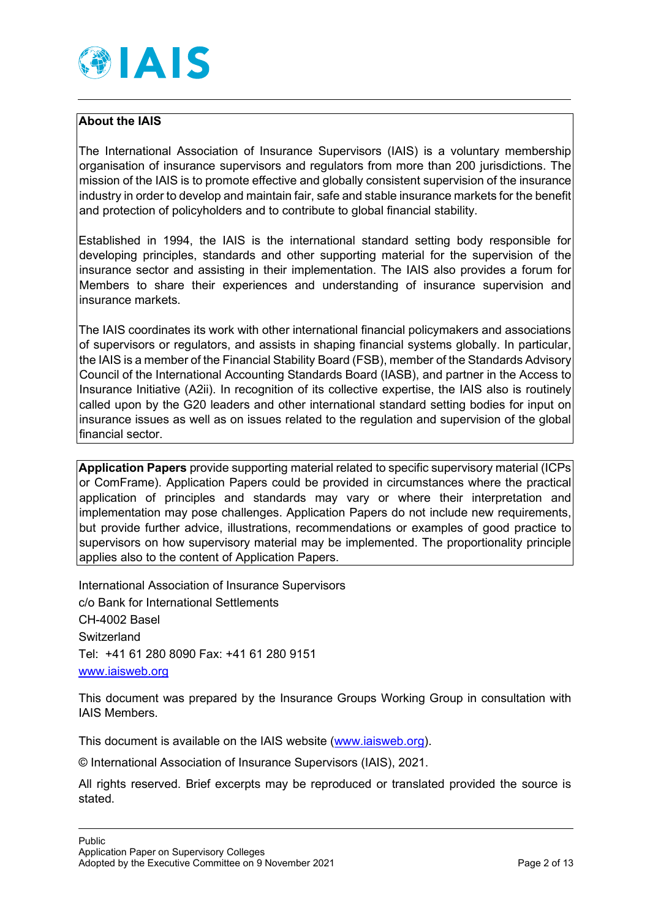

## **About the IAIS**

The International Association of Insurance Supervisors (IAIS) is a voluntary membership organisation of insurance supervisors and regulators from more than 200 jurisdictions. The mission of the IAIS is to promote effective and globally consistent supervision of the insurance industry in order to develop and maintain fair, safe and stable insurance markets for the benefit and protection of policyholders and to contribute to global financial stability.

Established in 1994, the IAIS is the international standard setting body responsible for developing principles, standards and other supporting material for the supervision of the insurance sector and assisting in their implementation. The IAIS also provides a forum for Members to share their experiences and understanding of insurance supervision and insurance markets.

The IAIS coordinates its work with other international financial policymakers and associations of supervisors or regulators, and assists in shaping financial systems globally. In particular, the IAIS is a member of the Financial Stability Board (FSB), member of the Standards Advisory Council of the International Accounting Standards Board (IASB), and partner in the Access to Insurance Initiative (A2ii). In recognition of its collective expertise, the IAIS also is routinely called upon by the G20 leaders and other international standard setting bodies for input on insurance issues as well as on issues related to the regulation and supervision of the global financial sector.

**Application Papers** provide supporting material related to specific supervisory material (ICPs or ComFrame). Application Papers could be provided in circumstances where the practical application of principles and standards may vary or where their interpretation and implementation may pose challenges. Application Papers do not include new requirements, but provide further advice, illustrations, recommendations or examples of good practice to supervisors on how supervisory material may be implemented. The proportionality principle applies also to the content of Application Papers.

International Association of Insurance Supervisors c/o Bank for International Settlements CH-4002 Basel **Switzerland** Tel: +41 61 280 8090 Fax: +41 61 280 9151 [www.iaisweb.org](http://www.iaisweb.org/)

This document was prepared by the Insurance Groups Working Group in consultation with IAIS Members.

This document is available on the IAIS website [\(www.iaisweb.org\)](http://www.iaisweb.org/).

© International Association of Insurance Supervisors (IAIS), 2021.

All rights reserved. Brief excerpts may be reproduced or translated provided the source is stated.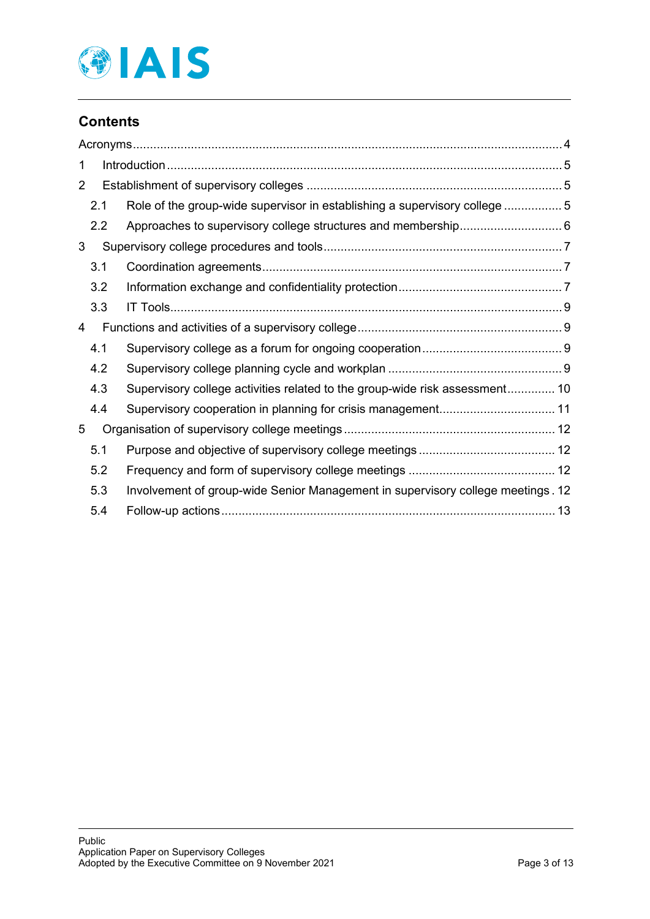

# **Contents**

| 1              |     |                                                                                 |  |  |  |
|----------------|-----|---------------------------------------------------------------------------------|--|--|--|
| $\overline{2}$ |     |                                                                                 |  |  |  |
|                | 2.1 | Role of the group-wide supervisor in establishing a supervisory college 5       |  |  |  |
|                | 2.2 |                                                                                 |  |  |  |
| 3              |     |                                                                                 |  |  |  |
|                | 3.1 |                                                                                 |  |  |  |
|                | 3.2 |                                                                                 |  |  |  |
|                | 3.3 |                                                                                 |  |  |  |
| 4              |     |                                                                                 |  |  |  |
|                | 4.1 |                                                                                 |  |  |  |
|                | 4.2 |                                                                                 |  |  |  |
|                | 4.3 | Supervisory college activities related to the group-wide risk assessment 10     |  |  |  |
|                | 4.4 | Supervisory cooperation in planning for crisis management 11                    |  |  |  |
| 5              |     |                                                                                 |  |  |  |
|                | 5.1 |                                                                                 |  |  |  |
|                | 5.2 |                                                                                 |  |  |  |
|                | 5.3 | Involvement of group-wide Senior Management in supervisory college meetings. 12 |  |  |  |
|                | 5.4 |                                                                                 |  |  |  |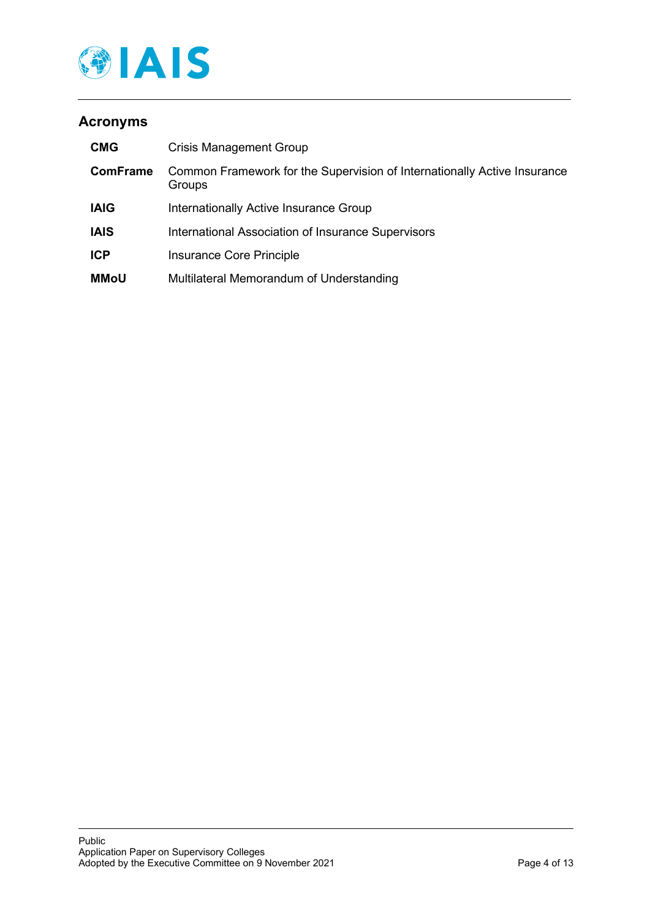

# <span id="page-3-0"></span>**Acronyms**

| <b>CMG</b>      | <b>Crisis Management Group</b>                                                     |
|-----------------|------------------------------------------------------------------------------------|
| <b>ComFrame</b> | Common Framework for the Supervision of Internationally Active Insurance<br>Groups |
| <b>IAIG</b>     | Internationally Active Insurance Group                                             |
| <b>IAIS</b>     | International Association of Insurance Supervisors                                 |
| <b>ICP</b>      | Insurance Core Principle                                                           |
| <b>MMoU</b>     | Multilateral Memorandum of Understanding                                           |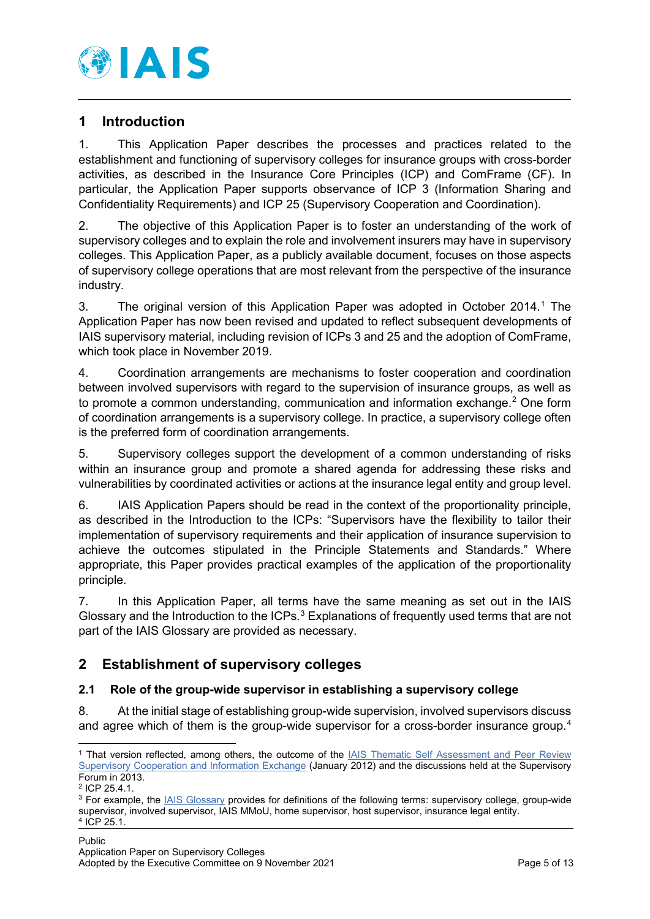

## <span id="page-4-0"></span>**1 Introduction**

1. This Application Paper describes the processes and practices related to the establishment and functioning of supervisory colleges for insurance groups with cross-border activities, as described in the Insurance Core Principles (ICP) and ComFrame (CF). In particular, the Application Paper supports observance of ICP 3 (Information Sharing and Confidentiality Requirements) and ICP 25 (Supervisory Cooperation and Coordination).

2. The objective of this Application Paper is to foster an understanding of the work of supervisory colleges and to explain the role and involvement insurers may have in supervisory colleges. This Application Paper, as a publicly available document, focuses on those aspects of supervisory college operations that are most relevant from the perspective of the insurance industry.

3. The original version of this Application Paper was adopted in October 2014.[1](#page-4-3) The Application Paper has now been revised and updated to reflect subsequent developments of IAIS supervisory material, including revision of ICPs 3 and 25 and the adoption of ComFrame, which took place in November 2019.

4. Coordination arrangements are mechanisms to foster cooperation and coordination between involved supervisors with regard to the supervision of insurance groups, as well as to promote a common understanding, communication and information exchange.<sup>[2](#page-4-4)</sup> One form of coordination arrangements is a supervisory college. In practice, a supervisory college often is the preferred form of coordination arrangements.

5. Supervisory colleges support the development of a common understanding of risks within an insurance group and promote a shared agenda for addressing these risks and vulnerabilities by coordinated activities or actions at the insurance legal entity and group level.

6. IAIS Application Papers should be read in the context of the proportionality principle, as described in the Introduction to the ICPs: "Supervisors have the flexibility to tailor their implementation of supervisory requirements and their application of insurance supervision to achieve the outcomes stipulated in the Principle Statements and Standards." Where appropriate, this Paper provides practical examples of the application of the proportionality principle.

7. In this Application Paper, all terms have the same meaning as set out in the IAIS Glossary and the Introduction to the ICPs.<sup>[3](#page-4-5)</sup> Explanations of frequently used terms that are not part of the IAIS Glossary are provided as necessary.

# <span id="page-4-1"></span>**2 Establishment of supervisory colleges**

## <span id="page-4-2"></span>**2.1 Role of the group-wide supervisor in establishing a supervisory college**

8. At the initial stage of establishing group-wide supervision, involved supervisors discuss and agree which of them is the group-wide supervisor for a cross-border insurance group.<sup>4</sup>

<span id="page-4-3"></span><sup>&</sup>lt;sup>1</sup> That version reflected, among others, the outcome of the IAIS Thematic Self Assessment and Peer Review [Supervisory Cooperation and Information Exchange](https://www.iaisweb.org/page/supervisory-material/implementation-and-capacity-building/assessments/file/34389/thematic-self-assessment-and-peer-review-supervisory-cooperation-and-information-exchange) (January 2012) and the discussions held at the Supervisory Forum in 2013.

<span id="page-4-4"></span><sup>2</sup> ICP 25.4.1.

<span id="page-4-6"></span><span id="page-4-5"></span><sup>3</sup> For example, the [IAIS Glossary](https://www.iaisweb.org/page/supervisory-material/glossary) provides for definitions of the following terms: supervisory college, group-wide supervisor, involved supervisor, IAIS MMoU, home supervisor, host supervisor, insurance legal entity. <sup>4</sup> ICP 25.1.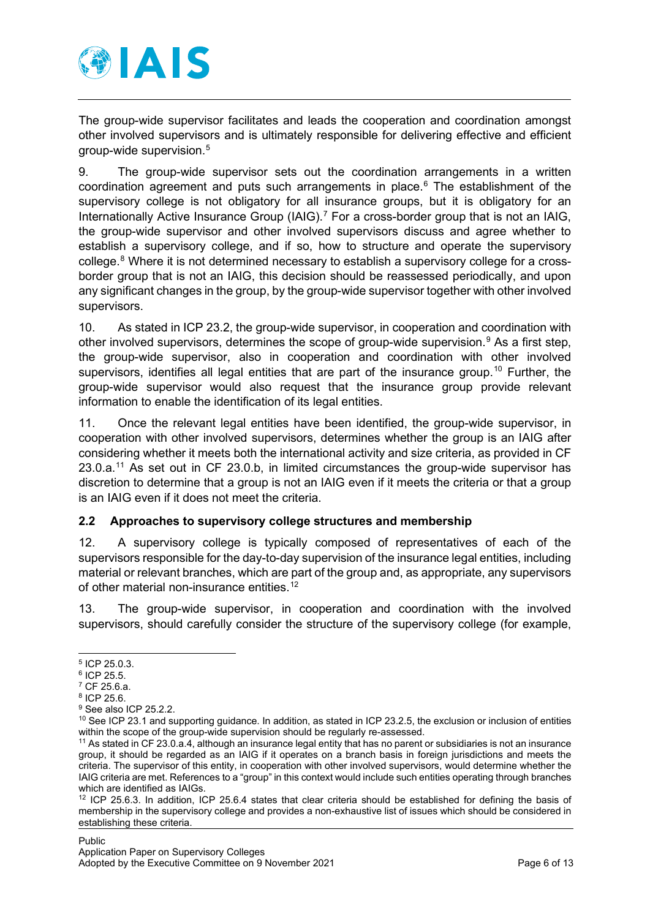

The group-wide supervisor facilitates and leads the cooperation and coordination amongst other involved supervisors and is ultimately responsible for delivering effective and efficient group-wide supervision.[5](#page-5-1)

9. The group-wide supervisor sets out the coordination arrangements in a written coordination agreement and puts such arrangements in place.[6](#page-5-2) The establishment of the supervisory college is not obligatory for all insurance groups, but it is obligatory for an Internationally Active Insurance Group (IAIG).<sup>[7](#page-5-3)</sup> For a cross-border group that is not an IAIG, the group-wide supervisor and other involved supervisors discuss and agree whether to establish a supervisory college, and if so, how to structure and operate the supervisory college.<sup>[8](#page-5-4)</sup> Where it is not determined necessary to establish a supervisory college for a crossborder group that is not an IAIG, this decision should be reassessed periodically, and upon any significant changes in the group, by the group-wide supervisor together with other involved supervisors.

10. As stated in ICP 23.2, the group-wide supervisor, in cooperation and coordination with other involved supervisors, determines the scope of group-wide supervision.<sup>[9](#page-5-5)</sup> As a first step, the group-wide supervisor, also in cooperation and coordination with other involved supervisors, identifies all legal entities that are part of the insurance group.<sup>[10](#page-5-6)</sup> Further, the group-wide supervisor would also request that the insurance group provide relevant information to enable the identification of its legal entities.

11. Once the relevant legal entities have been identified, the group-wide supervisor, in cooperation with other involved supervisors, determines whether the group is an IAIG after considering whether it meets both the international activity and size criteria, as provided in CF 23.0.a.[11](#page-5-7) As set out in CF 23.0.b, in limited circumstances the group-wide supervisor has discretion to determine that a group is not an IAIG even if it meets the criteria or that a group is an IAIG even if it does not meet the criteria.

#### <span id="page-5-0"></span>**2.2 Approaches to supervisory college structures and membership**

12. A supervisory college is typically composed of representatives of each of the supervisors responsible for the day-to-day supervision of the insurance legal entities, including material or relevant branches, which are part of the group and, as appropriate, any supervisors of other material non-insurance entities.<sup>[12](#page-5-8)</sup>

13. The group-wide supervisor, in cooperation and coordination with the involved supervisors, should carefully consider the structure of the supervisory college (for example,

<span id="page-5-5"></span><sup>9</sup> See also ICP 25.2.2.

<span id="page-5-1"></span><sup>5</sup> ICP 25.0.3.

<span id="page-5-2"></span><sup>6</sup> ICP 25.5.

<span id="page-5-3"></span><sup>7</sup> CF 25.6.a.

<span id="page-5-4"></span><sup>8</sup> ICP 25.6.

<span id="page-5-6"></span><sup>&</sup>lt;sup>10</sup> See ICP 23.1 and supporting guidance. In addition, as stated in ICP 23.2.5, the exclusion or inclusion of entities within the scope of the group-wide supervision should be regularly re-assessed.

<span id="page-5-7"></span><sup>11</sup> As stated in CF 23.0.a.4, although an insurance legal entity that has no parent or subsidiaries is not an insurance group, it should be regarded as an IAIG if it operates on a branch basis in foreign jurisdictions and meets the criteria. The supervisor of this entity, in cooperation with other involved supervisors, would determine whether the IAIG criteria are met. References to a "group" in this context would include such entities operating through branches which are identified as IAIGs.

<span id="page-5-8"></span> $12$  ICP 25.6.3. In addition, ICP 25.6.4 states that clear criteria should be established for defining the basis of membership in the supervisory college and provides a non-exhaustive list of issues which should be considered in establishing these criteria.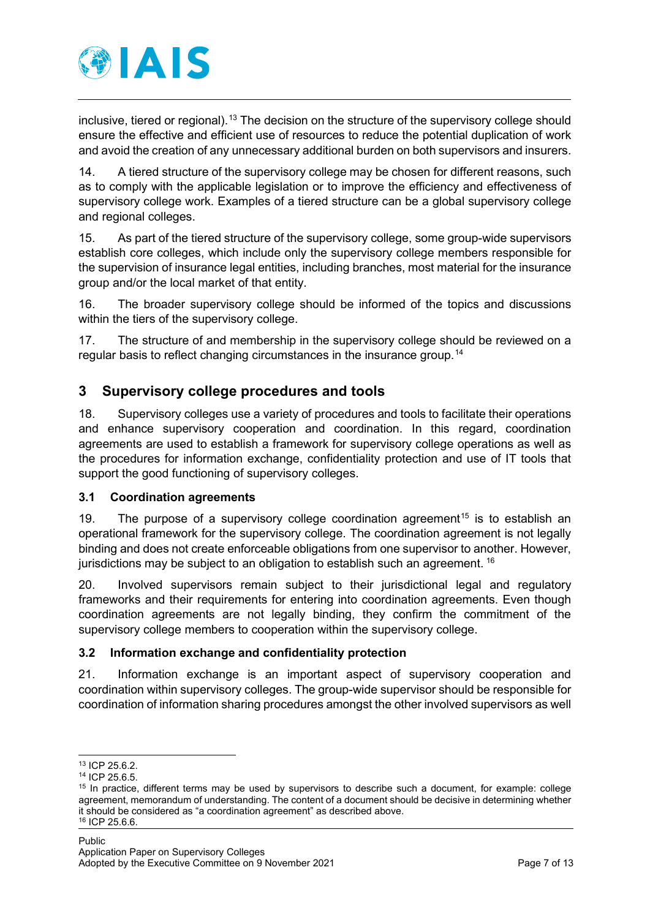

inclusive, tiered or regional).<sup>[13](#page-6-3)</sup> The decision on the structure of the supervisory college should ensure the effective and efficient use of resources to reduce the potential duplication of work and avoid the creation of any unnecessary additional burden on both supervisors and insurers.

14. A tiered structure of the supervisory college may be chosen for different reasons, such as to comply with the applicable legislation or to improve the efficiency and effectiveness of supervisory college work. Examples of a tiered structure can be a global supervisory college and regional colleges.

15. As part of the tiered structure of the supervisory college, some group-wide supervisors establish core colleges, which include only the supervisory college members responsible for the supervision of insurance legal entities, including branches, most material for the insurance group and/or the local market of that entity.

16. The broader supervisory college should be informed of the topics and discussions within the tiers of the supervisory college.

17. The structure of and membership in the supervisory college should be reviewed on a regular basis to reflect changing circumstances in the insurance group.<sup>[14](#page-6-4)</sup>

# <span id="page-6-0"></span>**3 Supervisory college procedures and tools**

18. Supervisory colleges use a variety of procedures and tools to facilitate their operations and enhance supervisory cooperation and coordination. In this regard, coordination agreements are used to establish a framework for supervisory college operations as well as the procedures for information exchange, confidentiality protection and use of IT tools that support the good functioning of supervisory colleges.

## <span id="page-6-1"></span>**3.1 Coordination agreements**

19. The purpose of a supervisory college coordination agreement<sup>[15](#page-6-5)</sup> is to establish an operational framework for the supervisory college. The coordination agreement is not legally binding and does not create enforceable obligations from one supervisor to another. However, jurisdictions may be subject to an obligation to establish such an agreement. [16](#page-6-6)

20. Involved supervisors remain subject to their jurisdictional legal and regulatory frameworks and their requirements for entering into coordination agreements. Even though coordination agreements are not legally binding, they confirm the commitment of the supervisory college members to cooperation within the supervisory college.

## <span id="page-6-2"></span>**3.2 Information exchange and confidentiality protection**

21. Information exchange is an important aspect of supervisory cooperation and coordination within supervisory colleges. The group-wide supervisor should be responsible for coordination of information sharing procedures amongst the other involved supervisors as well

<span id="page-6-3"></span><sup>13</sup> ICP 25.6.2.

<sup>14</sup> ICP 25.6.5.

<span id="page-6-6"></span><span id="page-6-5"></span><span id="page-6-4"></span><sup>15</sup> In practice, different terms may be used by supervisors to describe such a document, for example: college agreement, memorandum of understanding. The content of a document should be decisive in determining whether it should be considered as "a coordination agreement" as described above. <sup>16</sup> ICP 25.6.6.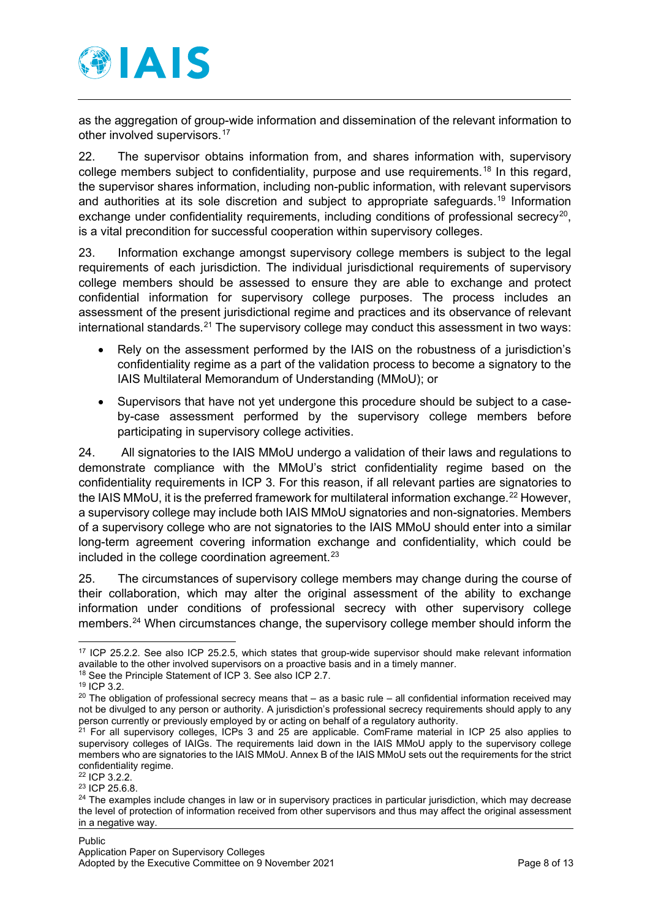

as the aggregation of group-wide information and dissemination of the relevant information to other involved supervisors.[17](#page-7-0)

22. The supervisor obtains information from, and shares information with, supervisory college members subject to confidentiality, purpose and use requirements.<sup>[18](#page-7-1)</sup> In this regard, the supervisor shares information, including non-public information, with relevant supervisors and authorities at its sole discretion and subiect to appropriate safeguards.<sup>[19](#page-7-2)</sup> Information exchange under confidentiality requirements, including conditions of professional secrecy<sup>[20](#page-7-3)</sup>, is a vital precondition for successful cooperation within supervisory colleges.

23. Information exchange amongst supervisory college members is subject to the legal requirements of each jurisdiction. The individual jurisdictional requirements of supervisory college members should be assessed to ensure they are able to exchange and protect confidential information for supervisory college purposes. The process includes an assessment of the present jurisdictional regime and practices and its observance of relevant international standards.<sup>[21](#page-7-4)</sup> The supervisory college may conduct this assessment in two ways:

- Rely on the assessment performed by the IAIS on the robustness of a jurisdiction's confidentiality regime as a part of the validation process to become a signatory to the IAIS Multilateral Memorandum of Understanding (MMoU); or
- Supervisors that have not yet undergone this procedure should be subject to a caseby-case assessment performed by the supervisory college members before participating in supervisory college activities.

24. All signatories to the IAIS MMoU undergo a validation of their laws and regulations to demonstrate compliance with the MMoU's strict confidentiality regime based on the confidentiality requirements in ICP 3. For this reason, if all relevant parties are signatories to the IAIS MMoU, it is the preferred framework for multilateral information exchange.<sup>[22](#page-7-5)</sup> However, a supervisory college may include both IAIS MMoU signatories and non-signatories. Members of a supervisory college who are not signatories to the IAIS MMoU should enter into a similar long-term agreement covering information exchange and confidentiality, which could be included in the college coordination agreement. $23$ 

25. The circumstances of supervisory college members may change during the course of their collaboration, which may alter the original assessment of the ability to exchange information under conditions of professional secrecy with other supervisory college members.<sup>24</sup> When circumstances change, the supervisory college member should inform the

<span id="page-7-5"></span><sup>22</sup> ICP 3.2.2.

<span id="page-7-0"></span><sup>17</sup> ICP 25.2.2. See also ICP 25.2.5, which states that group-wide supervisor should make relevant information available to the other involved supervisors on a proactive basis and in a timely manner.

<span id="page-7-1"></span><sup>18</sup> See the Principle Statement of ICP 3. See also ICP 2.7.

<sup>19</sup> ICP 3.2.

<span id="page-7-3"></span><span id="page-7-2"></span> $20$  The obligation of professional secrecy means that – as a basic rule – all confidential information received may not be divulged to any person or authority. A jurisdiction's professional secrecy requirements should apply to any person currently or previously employed by or acting on behalf of a regulatory authority.

<span id="page-7-4"></span> $21$  For all supervisory colleges, ICPs 3 and 25 are applicable. ComFrame material in ICP 25 also applies to supervisory colleges of IAIGs. The requirements laid down in the IAIS MMoU apply to the supervisory college members who are signatories to the IAIS MMoU. Annex B of the IAIS MMoU sets out the requirements for the strict confidentiality regime.

<span id="page-7-6"></span><sup>23</sup> ICP 25.6.8.

<span id="page-7-7"></span> $24$  The examples include changes in law or in supervisory practices in particular jurisdiction, which may decrease the level of protection of information received from other supervisors and thus may affect the original assessment in a negative way.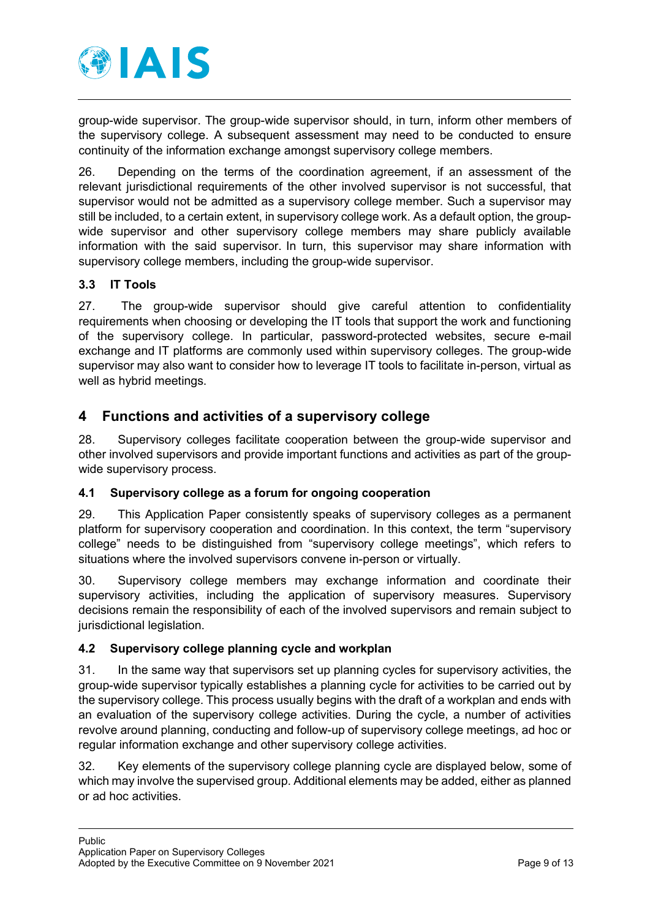

group-wide supervisor. The group-wide supervisor should, in turn, inform other members of the supervisory college. A subsequent assessment may need to be conducted to ensure continuity of the information exchange amongst supervisory college members.

26. Depending on the terms of the coordination agreement, if an assessment of the relevant jurisdictional requirements of the other involved supervisor is not successful, that supervisor would not be admitted as a supervisory college member. Such a supervisor may still be included, to a certain extent, in supervisory college work. As a default option, the groupwide supervisor and other supervisory college members may share publicly available information with the said supervisor. In turn, this supervisor may share information with supervisory college members, including the group-wide supervisor.

## <span id="page-8-0"></span>**3.3 IT Tools**

27. The group-wide supervisor should give careful attention to confidentiality requirements when choosing or developing the IT tools that support the work and functioning of the supervisory college. In particular, password-protected websites, secure e-mail exchange and IT platforms are commonly used within supervisory colleges. The group-wide supervisor may also want to consider how to leverage IT tools to facilitate in-person, virtual as well as hybrid meetings.

## <span id="page-8-1"></span>**4 Functions and activities of a supervisory college**

28. Supervisory colleges facilitate cooperation between the group-wide supervisor and other involved supervisors and provide important functions and activities as part of the groupwide supervisory process.

#### <span id="page-8-2"></span>**4.1 Supervisory college as a forum for ongoing cooperation**

29. This Application Paper consistently speaks of supervisory colleges as a permanent platform for supervisory cooperation and coordination. In this context, the term "supervisory college" needs to be distinguished from "supervisory college meetings", which refers to situations where the involved supervisors convene in-person or virtually.

30. Supervisory college members may exchange information and coordinate their supervisory activities, including the application of supervisory measures. Supervisory decisions remain the responsibility of each of the involved supervisors and remain subject to jurisdictional legislation.

#### <span id="page-8-3"></span>**4.2 Supervisory college planning cycle and workplan**

31. In the same way that supervisors set up planning cycles for supervisory activities, the group-wide supervisor typically establishes a planning cycle for activities to be carried out by the supervisory college. This process usually begins with the draft of a workplan and ends with an evaluation of the supervisory college activities. During the cycle, a number of activities revolve around planning, conducting and follow-up of supervisory college meetings, ad hoc or regular information exchange and other supervisory college activities.

32. Key elements of the supervisory college planning cycle are displayed below, some of which may involve the supervised group. Additional elements may be added, either as planned or ad hoc activities.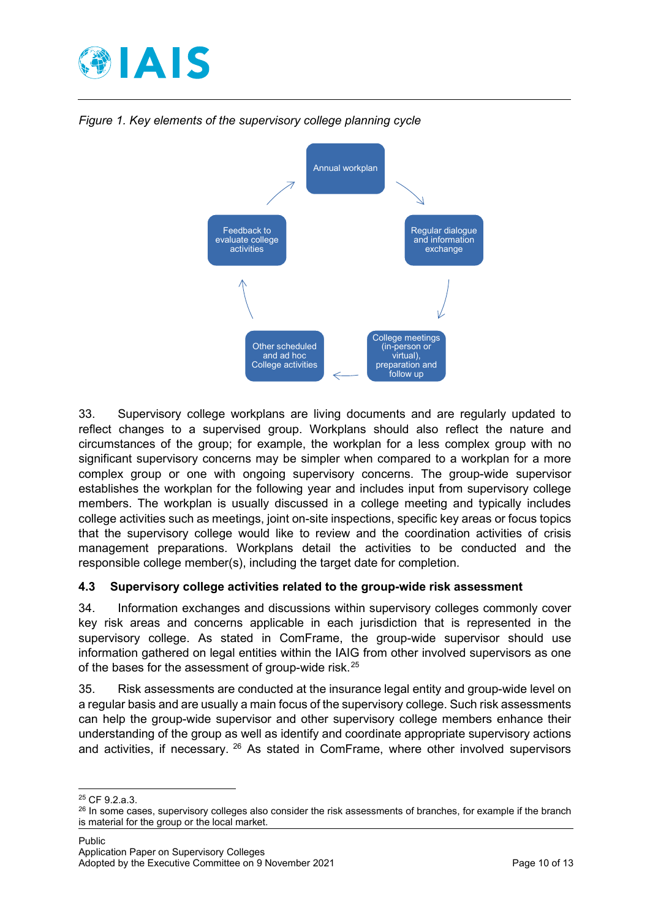



*Figure 1. Key elements of the supervisory college planning cycle*

33. Supervisory college workplans are living documents and are regularly updated to reflect changes to a supervised group. Workplans should also reflect the nature and circumstances of the group; for example, the workplan for a less complex group with no significant supervisory concerns may be simpler when compared to a workplan for a more complex group or one with ongoing supervisory concerns. The group-wide supervisor establishes the workplan for the following year and includes input from supervisory college members. The workplan is usually discussed in a college meeting and typically includes college activities such as meetings, joint on-site inspections, specific key areas or focus topics that the supervisory college would like to review and the coordination activities of crisis management preparations. Workplans detail the activities to be conducted and the responsible college member(s), including the target date for completion.

#### <span id="page-9-0"></span>**4.3 Supervisory college activities related to the group-wide risk assessment**

34. Information exchanges and discussions within supervisory colleges commonly cover key risk areas and concerns applicable in each jurisdiction that is represented in the supervisory college. As stated in ComFrame, the group-wide supervisor should use information gathered on legal entities within the IAIG from other involved supervisors as one of the bases for the assessment of group-wide risk.<sup>[25](#page-9-1)</sup>

35. Risk assessments are conducted at the insurance legal entity and group-wide level on a regular basis and are usually a main focus of the supervisory college. Such risk assessments can help the group-wide supervisor and other supervisory college members enhance their understanding of the group as well as identify and coordinate appropriate supervisory actions and activities, if necessary. [26](#page-9-2) As stated in ComFrame, where other involved supervisors

<span id="page-9-1"></span><sup>25</sup> CF 9.2.a.3.

<span id="page-9-2"></span><sup>&</sup>lt;sup>26</sup> In some cases, supervisory colleges also consider the risk assessments of branches, for example if the branch is material for the group or the local market.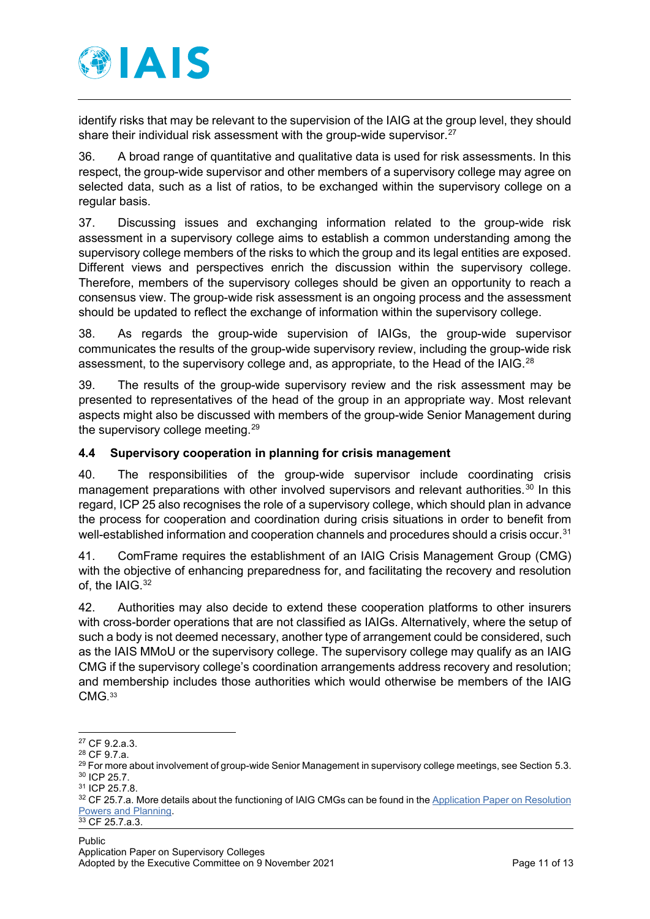

identify risks that may be relevant to the supervision of the IAIG at the group level, they should share their individual risk assessment with the group-wide supervisor.<sup>[27](#page-10-1)</sup>

36. A broad range of quantitative and qualitative data is used for risk assessments. In this respect, the group-wide supervisor and other members of a supervisory college may agree on selected data, such as a list of ratios, to be exchanged within the supervisory college on a regular basis.

37. Discussing issues and exchanging information related to the group-wide risk assessment in a supervisory college aims to establish a common understanding among the supervisory college members of the risks to which the group and its legal entities are exposed. Different views and perspectives enrich the discussion within the supervisory college. Therefore, members of the supervisory colleges should be given an opportunity to reach a consensus view. The group-wide risk assessment is an ongoing process and the assessment should be updated to reflect the exchange of information within the supervisory college.

38. As regards the group-wide supervision of IAIGs, the group-wide supervisor communicates the results of the group-wide supervisory review, including the group-wide risk assessment, to the supervisory college and, as appropriate, to the Head of the IAIG.<sup>[28](#page-10-2)</sup>

39. The results of the group-wide supervisory review and the risk assessment may be presented to representatives of the head of the group in an appropriate way. Most relevant aspects might also be discussed with members of the group-wide Senior Management during the supervisory college meeting.<sup>[29](#page-10-3)</sup>

## <span id="page-10-0"></span>**4.4 Supervisory cooperation in planning for crisis management**

40. The responsibilities of the group-wide supervisor include coordinating crisis management preparations with other involved supervisors and relevant authorities.<sup>[30](#page-10-4)</sup> In this regard, ICP 25 also recognises the role of a supervisory college, which should plan in advance the process for cooperation and coordination during crisis situations in order to benefit from well-established information and cooperation channels and procedures should a crisis occur.<sup>[31](#page-10-5)</sup>

41. ComFrame requires the establishment of an IAIG Crisis Management Group (CMG) with the objective of enhancing preparedness for, and facilitating the recovery and resolution of, the IAIG.<sup>[32](#page-10-6)</sup>

42. Authorities may also decide to extend these cooperation platforms to other insurers with cross-border operations that are not classified as IAIGs. Alternatively, where the setup of such a body is not deemed necessary, another type of arrangement could be considered, such as the IAIS MMoU or the supervisory college. The supervisory college may qualify as an IAIG CMG if the supervisory college's coordination arrangements address recovery and resolution; and membership includes those authorities which would otherwise be members of the IAIG CMG. [33](#page-10-7)

<span id="page-10-7"></span>Public

<span id="page-10-1"></span><sup>27</sup> CF 9.2.a.3.

<span id="page-10-2"></span><sup>28</sup> CF 9.7.a.

<span id="page-10-3"></span> $^{29}$  For more about involvement of group-wide Senior Management in supervisory college meetings, see Section 5.3. <sup>30</sup> ICP 25.7.

<span id="page-10-5"></span><span id="page-10-4"></span><sup>31</sup> ICP 25.7.8.

<span id="page-10-6"></span><sup>32</sup> CF 25.7.a. More details about the functioning of IAIG CMGs can be found in the Application Paper on Resolution [Powers and Planning.](https://www.iaisweb.org/page/supervisory-material/application-papers/file/97806/application-paper-on-resolution-powers-and-planning)<br><sup>33</sup> CF 25.7.a.3.

Application Paper on Supervisory Colleges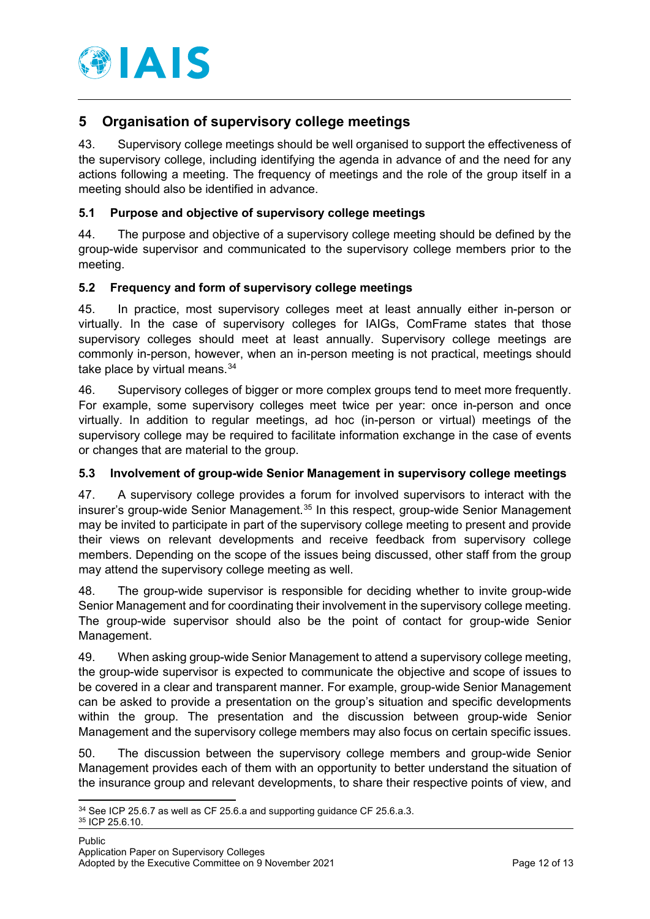

# <span id="page-11-0"></span>**5 Organisation of supervisory college meetings**

43. Supervisory college meetings should be well organised to support the effectiveness of the supervisory college, including identifying the agenda in advance of and the need for any actions following a meeting. The frequency of meetings and the role of the group itself in a meeting should also be identified in advance.

## <span id="page-11-1"></span>**5.1 Purpose and objective of supervisory college meetings**

44. The purpose and objective of a supervisory college meeting should be defined by the group-wide supervisor and communicated to the supervisory college members prior to the meeting.

## <span id="page-11-2"></span>**5.2 Frequency and form of supervisory college meetings**

45. In practice, most supervisory colleges meet at least annually either in-person or virtually. In the case of supervisory colleges for IAIGs, ComFrame states that those supervisory colleges should meet at least annually. Supervisory college meetings are commonly in-person, however, when an in-person meeting is not practical, meetings should take place by virtual means. $34$ 

46. Supervisory colleges of bigger or more complex groups tend to meet more frequently. For example, some supervisory colleges meet twice per year: once in-person and once virtually. In addition to regular meetings, ad hoc (in-person or virtual) meetings of the supervisory college may be required to facilitate information exchange in the case of events or changes that are material to the group.

#### <span id="page-11-3"></span>**5.3 Involvement of group-wide Senior Management in supervisory college meetings**

47. A supervisory college provides a forum for involved supervisors to interact with the insurer's group-wide Senior Management.<sup>[35](#page-11-5)</sup> In this respect, group-wide Senior Management may be invited to participate in part of the supervisory college meeting to present and provide their views on relevant developments and receive feedback from supervisory college members. Depending on the scope of the issues being discussed, other staff from the group may attend the supervisory college meeting as well.

48. The group-wide supervisor is responsible for deciding whether to invite group-wide Senior Management and for coordinating their involvement in the supervisory college meeting. The group-wide supervisor should also be the point of contact for group-wide Senior Management.

49. When asking group-wide Senior Management to attend a supervisory college meeting, the group-wide supervisor is expected to communicate the objective and scope of issues to be covered in a clear and transparent manner. For example, group-wide Senior Management can be asked to provide a presentation on the group's situation and specific developments within the group. The presentation and the discussion between group-wide Senior Management and the supervisory college members may also focus on certain specific issues.

50. The discussion between the supervisory college members and group-wide Senior Management provides each of them with an opportunity to better understand the situation of the insurance group and relevant developments, to share their respective points of view, and

<span id="page-11-5"></span><span id="page-11-4"></span> $34$  See ICP 25.6.7 as well as CF 25.6.a and supporting guidance CF 25.6.a.3.<br> $35$  ICP 25.6.10.